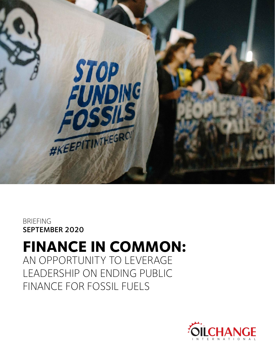

### BRIEFING SEPTEMBER 2020

# **FINANCE IN COMMON:**  AN OPPORTUNITY TO LEVERAGE

LEADERSHIP ON ENDING PUBLIC FINANCE FOR FOSSIL FUELS

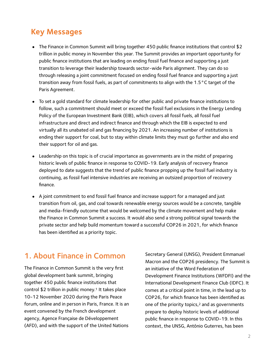# **Key Messages**

- The Finance in Common Summit will bring together 450 public finance institutions that control \$2 trillion in public money in November this year. The Summit provides an important opportunity for public finance institutions that are leading on ending fossil fuel finance and supporting a just transition to leverage their leadership towards sector-wide Paris alignment. They can do so through releasing a joint commitment focused on ending fossil fuel finance and supporting a just transition away from fossil fuels, as part of commitments to align with the 1.5°C target of the Paris Agreement.
- To set a gold standard for climate leadership for other public and private finance institutions to follow, such a commitment should meet or exceed the fossil fuel exclusions in the Energy Lending Policy of the European Investment Bank (EIB), which covers all fossil fuels, all fossil fuel infrastructure and direct and indirect finance and through which the EIB is expected to end virtually all its unabated oil and gas financing by 2021. An increasing number of institutions is ending their support for coal, but to stay within climate limits they must go further and also end their support for oil and gas.
- Leadership on this topic is of crucial importance as governments are in the midst of preparing historic levels of public finance in response to COVID-19. Early analysis of recovery finance deployed to date suggests that the trend of public finance propping up the fossil fuel industry is continuing, as fossil fuel intensive industries are receiving an outsized proportion of recovery finance.
- A joint commitment to end fossil fuel finance and increase support for a managed and just transition from oil, gas, and coal towards renewable energy sources would be a concrete, tangible and media-friendly outcome that would be welcomed by the climate movement and help make the Finance in Common Summit a success. It would also send a strong political signal towards the private sector and help build momentum toward a successful COP26 in 2021, for which finance has been identified as a priority topic.

### 1. About Finance in Common

The Finance in Common Summit is the very first global development bank summit, bringing together 450 public finance institutions that control  $$2$  trillion in public money.<sup>[1](#page-9-0)</sup> It takes place 10-12 November 2020 during the Paris Peace forum, online and in person in Paris, France. It is an event convened by the French development agency, Agence Française de Développement (AFD), and with the support of the United Nations

<span id="page-1-1"></span><span id="page-1-0"></span>Secretary General (UNSG), President Emmanuel Macron and the COP26 presidency. The Summit is an initiative of the Word Federation of Development Finance Institutions (WFDFI) and the International Development Finance Club (IDFC). It comes at a critical point in time, in the lead up to COP26, for which finance has been identified as one of the priority topics, $2$  and as governments prepare to deploy historic levels of additional public finance in response to COVID-19. In this context, the UNSG, António Guterres, has been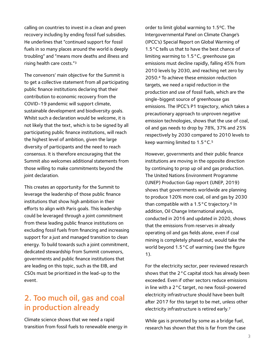calling on countries to invest in a clean and green recovery including by ending fossil fuel subsidies. He underlines that "continued support for fossil fuels in so many places around the world is deeply troubling" and "means more deaths and illness and rising health care costs.["3](#page-9-2)

<span id="page-2-0"></span>The convenors' main objective for the Summit is to get a collective statement from all participating public finance institutions declaring that their contribution to economic recovery from the COVID-19 pandemic will support climate, sustainable development and biodiversity goals. Whilst such a declaration would be welcome, it is not likely that the text, which is to be signed by all participating public finance institutions, will reach the highest level of ambition, given the large diversity of participants and the need to reach consensus. It is therefore encouraging that the Summit also welcomes additional statements from those willing to make commitments beyond the joint declaration.

This creates an opportunity for the Summit to leverage the leadership of those public finance institutions that show high ambition in their efforts to align with Paris goals. This leadership could be leveraged through a joint commitment from these leading public finance institutions on excluding fossil fuels from financing and increasing support for a just and managed transition to clean energy. To build towards such a joint commitment, dedicated stewardship from Summit convenors, governments and public finance institutions that are leading on this topic, such as the EIB, and CSOs must be prioritized in the lead-up to the event.

### 2. Too much oil, gas and coal in production already

Climate science shows that we need a rapid transition from fossil fuels to renewable energy in

<span id="page-2-1"></span>order to limit global warming to 1.5ºC. The Intergovernmental Panel on Climate Change's (IPCC's) Special Report on Global Warming of 1.5 °C tells us that to have the best chance of limiting warming to 1.5°C, greenhouse gas emissions must decline rapidly, falling 45% from 2010 levels by 2030, and reaching net zero by 2050.<sup>[4](#page-9-3)</sup> To achieve these emission reduction targets, we need a rapid reduction in the production and use of fossil fuels, which are the single-biggest source of greenhouse gas emissions. The IPCC's P1 trajectory, which takes a precautionary approach to unproven negative emission technologies, shows that the use of coal, oil and gas needs to drop by 78%, 37% and 25% respectively by 2030 compared to 2010 levels to keep warming limited to  $1.5^{\circ}$  C.<sup>5</sup>

<span id="page-2-3"></span><span id="page-2-2"></span>However, governments and their public finance institutions are moving in the opposite direction by continuing to prop up oil and gas production. The United Nations Environment Programme (UNEP) Production Gap report (UNEP, 2019) shows that governments worldwide are planning to produce 120% more coal, oil and gas by 2030 than compatible with a  $1.5\,^{\circ}$ C trajectory.<sup>[6](#page-9-5)</sup> In addition, Oil Change International analysis, conducted in 2016 and updated in 2020, shows that the emissions from reserves in already operating oil and gas fields alone, even if coal mining is completely phased out, would take the world beyond 1.5°C of warming (see the figure 1).

For the electricity sector, peer reviewed research shows that the 2°C capital stock has already been exceeded. Even if other sectors reduce emissions in line with a 2°C target, no new fossil-powered electricity infrastructure should have been built after 2017 for this target to be met, unless other electricity infrastructure is retired early[. 7](#page-9-6)

<span id="page-2-4"></span>While gas is promoted by some as a bridge fuel, research has shown that this is far from the case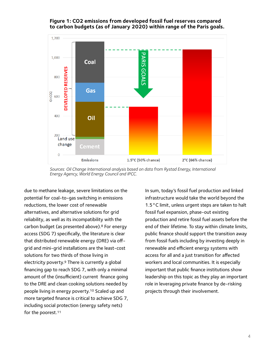#### **Figure 1: CO2 emissions from developed fossil fuel reserves compared to carbon budgets (as of January 2020) within range of the Paris goals.**



*Sources: Oil Change International analysis based on data from Rystad Energy, International Energy Agency, World Energy Council and IPCC.*

<span id="page-3-3"></span><span id="page-3-1"></span>due to methane leakage, severe limitations on the potential for coal-to-gas switching in emissions reductions, the lower cost of renewable alternatives, and alternative solutions for grid reliability, as well as its incompatibility with the carbon budget (as presented above).<sup>[8](#page-9-7)</sup> For energy access (SDG 7) specifically, the literature is clear that distributed renewable energy (DRE) via offgrid and mini-grid installations are the least-cost solutions for two thirds of those living in electricity poverty.<sup>[9](#page-9-8)</sup> There is currently a global financing gap to reach SDG 7, with only a minimal amount of the (insufficient) current finance going to the DRE and clean cooking solutions needed by people living in energy poverty[.](#page-9-9)<sup>[10](#page-9-9)</sup> Scaled up and more targeted finance is critical to achieve SDG 7, including social protection (energy safety nets) for the poorest[.11](#page-9-10)

<span id="page-3-2"></span><span id="page-3-0"></span>In sum, today's fossil fuel production and linked infrastructure would take the world beyond the 1.5°C limit, unless urgent steps are taken to halt fossil fuel expansion, phase-out existing production and retire fossil fuel assets before the end of their lifetime. To stay within climate limits, public finance should support the transition away from fossil fuels including by investing deeply in renewable and efficient energy systems with access for all and a just transition for affected workers and local communities. It is especially important that public finance institutions show leadership on this topic as they play an important role in leveraging private finance by de-risking projects through their involvement.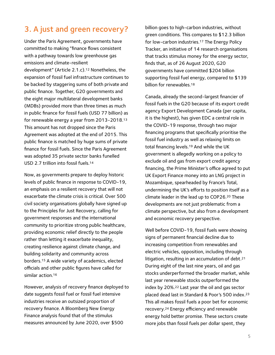# 3. A just and green recovery?

Under the Paris Agreement, governments have committed to making "finance flows consistent with a pathway towards low greenhouse gas emissions and climate-resilient development" (Article 2.1.c).<sup>[12](#page-9-11)</sup> Nonetheless, the expansion of fossil fuel infrastructure continues to be backed by staggering sums of both private and public finance. Together, G20 governments and the eight major multilateral development banks (MDBs) provided more than three times as much in public finance for fossil fuels (USD 77 billion) as for renewable energy a year from 2013-2018.[13](#page-9-12) This amount has not dropped since the Paris Agreement was adopted at the end of 2015. This public finance is matched by huge sums of private finance for fossil fuels. Since the Paris Agreement was adopted 35 private sector banks funelled USD 2.7 trillion into fossil fuels[.](#page-9-13) [14](#page-9-13)

<span id="page-4-2"></span>Now, as governments prepare to deploy historic levels of public finance in response to COVID-19, an emphasis on a resilient recovery that will not exacerbate the climate crisis is critical. Over 500 civil society organisations globally have signed up to the Principles for Just Recovery, calling for government responses and the international community to prioritize strong public healthcare, providing economic relief directly to the people rather than letting it exacerbate inequality, creating resilience against climate change, and building solidarity and community across borders[.](#page-9-14)<sup>[15](#page-9-14)</sup> A wide variety of academics, elected officials and other public figures have called for similar action[.](#page-9-15)<sup>[16](#page-9-15)</sup>

<span id="page-4-4"></span><span id="page-4-3"></span>However, analysis of recovery finance deployed to date suggests fossil fuel or fossil fuel intensive industries receive an outsized proportion of recovery finance. A Bloomberg New Energy Finance analysis found that of the stimulus measures announced by June 2020, over \$500

<span id="page-4-5"></span>billion goes to high-carbon industries, without green conditions. This compares to \$12.3 billion for low-carbon industries[.](#page-9-16)<sup>[17](#page-9-16)</sup> The Energy Policy Tracker, an initiative of 14 research organisations that tracks stimulus money for the energy sector, finds that, as of 26 August 2020, G20 governments have committed \$204 billion supporting fossil fuel energy, compared to \$139 billion for renewables. [18](#page-9-17)

<span id="page-4-7"></span><span id="page-4-6"></span><span id="page-4-1"></span><span id="page-4-0"></span>Canada, already the second-largest financier of fossil fuels in the G20 because of its export credit agency Export Development Canada (per capita, it is the highest), has given EDC a central role in the COVID-19 response, through two major financing programs that specifically prioritise the fossil fuel industry as well as relaxing limits on total financing levels[.](#page-9-18)<sup>[19](#page-9-18)</sup> And while the UK government is allegedly working on a policy to exclude oil and gas from export credit agency financing, the Prime Minister's office agreed to put UK Export Finance money into an LNG project in Mozambique, spearheaded by France's Total, undermining the UK's efforts to position itself as a climateleader in the lead up to COP26.<sup>[20](#page-10-0)</sup> These developments are not just problematic from a climate perspective, but also from a development and economic recovery perspective.

<span id="page-4-12"></span><span id="page-4-11"></span><span id="page-4-10"></span><span id="page-4-9"></span><span id="page-4-8"></span>Well before COVID-19, fossil fuels were showing signs of permanent financial decline due to increasing competition from renewables and electric vehicles, opposition, including through litigation, resulting in an accumulation of debt.[21](#page-10-1) During eight of the last nine years, oil and gas stocks underperformed the broader market, while last year renewable stocks outperformed the indexby  $20\%$ .  $22$  Last year the oil and gas sector placed dead last in Standard & Poor's 500 index.[23](#page-10-3) This all makes fossil fuels a poor bet for economic recovery[.](#page-10-4)<sup>24</sup> Energy efficiency and renewable energy hold better promise. These sectors create more jobs than fossil fuels per dollar spent, they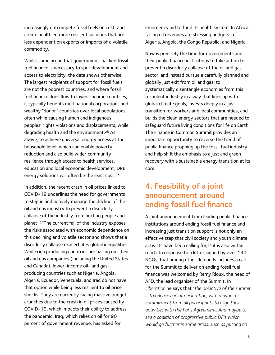increasingly outcompete fossil fuels on cost, and create healthier, more resilient societies that are less dependent on exports or imports of a volatile commodity.

Whilst some argue that government-backed fossil fuel finance is necessary to spur development and access to electricity, the data shows otherwise. The largest recipients of support for fossil fuels are not the poorest countries, and where fossil fuel finance does flow to lower-income countries, it typically benefits multinational corporations and wealthy "donor" countries over local populations, often while causing human and indigenous peoples' rights violations and displacements, while degradinghealth and the environment.<sup>[25](#page-10-5)</sup> As above, to achieve universal energy access at the household level, which can enable poverty reduction and also build wider community resilience through access to health services, education and local economic development, DRE energy solutions will often be the least  $cost.^{26}$ 

<span id="page-5-2"></span>In addition, the recent crash in oil prices linked to COVID-19 underlines the need for governments to step in and actively manage the decline of the oil and gas industry to prevent a disorderly collapse of the industry from hurting people and planet. <sup>[27](#page-10-7)</sup>The current fall of the industry exposes the risks associated with economic dependence on this declining and volatile sector and shows that a disorderly collapse exacerbates global inequalities. While rich producing countries are bailing out their oil and gas companies (including the United States and Canada), lower-income oil- and gasproducing countries such as Nigeria, Angola, Algeria, Ecuador, Venezuela, and Iraq do not have that option while being less resilient to oil price shocks. They are currently facing massive budget crunches due to the crash in oil prices caused by COVID-19, which impacts their ability to address the pandemic. Iraq, which relies on oil for 90 percent of government revenue, has asked for

emergency aid to fund its health system. In Africa, falling oil revenues are stressing budgets in Algeria, Angola, the Congo Republic, and Nigeria.

Now is precisely the time for governments and their public finance institutions to take action to prevent a disorderly collapse of the oil and gas sector, and instead pursue a carefully planned and globally just exit from oil and gas: to systematically disentangle economies from this turbulent industry in a way that lines up with global climate goals, invests deeply in a just transition for workers and local communities, and builds the clean energy sectors that are needed to safeguard future living conditions for life on Earth. The Finance in Common Summit provides an important opportunity to reverse the trend of public finance propping up the fossil fuel industry and help shift the emphasis to a just and green recovery with a sustainable energy transition at its core.

# <span id="page-5-1"></span><span id="page-5-0"></span>4. Feasibility of a joint announcement around ending fossil fuel finance

<span id="page-5-3"></span>A joint announcement from leading public finance institutions around ending fossil fuel finance and increasing just transition support is not only an effective step that civil society and youth climate activists have been calling for[,](#page-10-8) $28$  it is also within reach. In response to a letter signed by over 130 NGOs, that among other demands includes a call for the Summit to deliver on ending fossil fuel finance was welcomed by Remy Rioux, the head of AFD, the lead organiser of the Summit. In *Liberation* he says that *"the objective of the summit is to release a joint declaration, with maybe a commitment from all participants to align their activities with the Paris Agreement. And maybe to see a coalition of progressive public DFIs which would go further in some areas, such as putting an*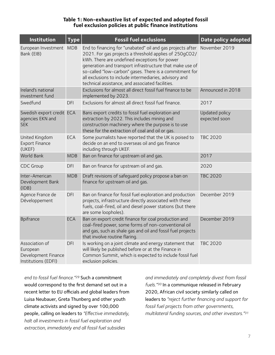#### **Table 1: Non-exhaustive list of expected and adopted fossil fuel exclusion policies at public finance institutions**

| <b>Institution</b>                                                       | <b>Type</b> | <b>Fossil fuel exclusions</b>                                                                                                                                                                                                                                                                                                                                                                                            | Date policy adopted             |
|--------------------------------------------------------------------------|-------------|--------------------------------------------------------------------------------------------------------------------------------------------------------------------------------------------------------------------------------------------------------------------------------------------------------------------------------------------------------------------------------------------------------------------------|---------------------------------|
| European Investment MDB<br>Bank (EIB)                                    |             | End to financing for "unabated" oil and gas projects after November 2019<br>2021. For gas projects a threshold applies of 250gCO2/<br>kWh. There are undefined exceptions for power<br>generation and transport infrastructure that make use of<br>so-called "low-carbon" gases. There is a commitment for<br>all exclusions to include intermediaries, advisory and<br>technical assistance, and associated facilities. |                                 |
| Ireland's national<br>investment fund                                    |             | Exclusions for almost all direct fossil fuel finance to be<br>implemented by 2023.                                                                                                                                                                                                                                                                                                                                       | Announced in 2018               |
| Swedfund                                                                 | <b>DFI</b>  | Exclusions for almost all direct fossil fuel finance.                                                                                                                                                                                                                                                                                                                                                                    | 2017                            |
| Swedish export credit ECA<br>agencies EKN and<br><b>SEK</b>              |             | Bans export credits to fossil fuel exploration and<br>extraction by 2022. This includes mining and<br>construction machinery where the purpose is to use<br>these for the extraction of coal and oil or gas.                                                                                                                                                                                                             | Updated policy<br>expected soon |
| United Kingdom<br><b>Export Finance</b><br>(UKEF)                        | <b>ECA</b>  | Some journalists have reported that the UK is poised to<br>decide on an end to overseas oil and gas finance<br>including through UKEF.                                                                                                                                                                                                                                                                                   | <b>TBC 2020</b>                 |
| <b>World Bank</b>                                                        | <b>MDB</b>  | Ban on finance for upstream oil and gas.                                                                                                                                                                                                                                                                                                                                                                                 | 2017                            |
| <b>CDC Group</b>                                                         | <b>DFI</b>  | Ban on finance for upstream oil and gas.                                                                                                                                                                                                                                                                                                                                                                                 | 2020                            |
| Inter-American<br>Development Bank<br>(IDB)                              | <b>MDB</b>  | Draft revisions of safeguard policy propose a ban on<br>finance for upstream oil and gas.                                                                                                                                                                                                                                                                                                                                | <b>TBC 2020</b>                 |
| Agence France de<br>Développement                                        | DFI         | Ban on finance for fossil fuel exploration and production<br>projects, infrastructure directly associated with these<br>fuels, coal-fired, oil and diesel power stations (but there<br>are some loopholes).                                                                                                                                                                                                              | December 2019                   |
| <b>Bpifrance</b>                                                         | <b>ECA</b>  | Ban on export credit finance for coal production and<br>coal-fired power, some forms of non-conventional oil<br>and gas, such as shale gas and oil and fossil fuel projects<br>that involve routine flaring.                                                                                                                                                                                                             | December 2019                   |
| Association of<br>European<br>Development Finance<br>Institutions (EDFI) | <b>DFI</b>  | Is working on a joint climate and energy statement that<br>will likely be published before or at the Finance in<br>Common Summit, which is expected to include fossil fuel<br>exclusion policies.                                                                                                                                                                                                                        | <b>TBC 2020</b>                 |

<span id="page-6-0"></span>*end to fossil fuel finance."<sup>[29](#page-10-9)</sup> Such a commitment* would correspond to the first demand set out in a recent letter to EU officials and global leaders from Luisa Neubauer, Greta Thunberg and other youth climate activists and signed by over 100,000 people, calling on leaders to *"Effective immediately, halt all investments in fossil fuel exploration and extraction, immediately end all fossil fuel subsidies* 

<span id="page-6-2"></span><span id="page-6-1"></span>*and immediately and completely divest from fossil*  fuels.<sup>"[30](#page-10-10)</sup> In a communique released in February 2020, African civil society similarly called on leaders to *"reject further financing and support for fossil fuel projects from other governments, multilateral funding sources, and other investors."[31](#page-10-11)*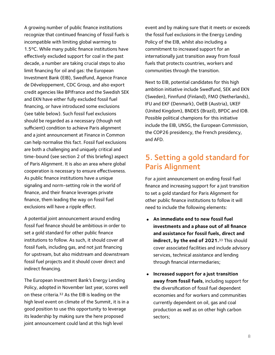A growing number of public finance institutions recognize that continued financing of fossil fuels is incompatible with limiting global warming to 1.5ºC. While many public finance institutions have effectively excluded support for coal in the past decade, a number are taking crucial steps to also limit financing for oil and gas: the European Investment Bank (EIB), Swedfund, Agence France de Développement, CDC Group, and also export credit agencies like BPIfrance and the Swedish SEK and EKN have either fully excluded fossil fuel financing, or have introduced some exclusions (see table below). Such fossil fuel exclusions should be regarded as a necessary (though not sufficient) condition to achieve Paris alignment and a joint announcement at Finance in Common can help normalise this fact. Fossil fuel exclusions are both a challenging and uniquely critical and time-bound (see section 2 of this briefing) aspect of Paris Alignment. It is also an area where global cooperation is necessary to ensure effectiveness. As public finance institutions have a unique signaling and norm-setting role in the world of finance, and their finance leverages private finance, them leading the way on fossil fuel exclusions will have a ripple effect.

A potential joint announcement around ending fossil fuel finance should be ambitious in order to set a gold standard for other public finance institutions to follow. As such, it should cover all fossil fuels, including gas, and not just financing for upstream, but also midstream and downstream fossil fuel projects and it should cover direct and indirect financing.

<span id="page-7-0"></span>The European Investment Bank's Energy Lending Policy, adopted in November last year, scores well on these criteria[.](#page-10-12) $32$  As the EIB is leading on the high level event on climate of the Summit, it is in a good position to use this opportunity to leverage its leadership by making sure the here proposed joint announcement could land at this high level

event and by making sure that it meets or exceeds the fossil fuel exclusions in the Energy Lending Policy of the EIB, whilst also including a commitment to increased support for an internationally just transition away from fossil fuels that protects countries, workers and communities through the transition.

Next to EIB, potential candidates for this high ambition initiative include Swedfund, SEK and EKN (Sweden), Finnfund (Finland), FMO (Netherlands), IFU and EKF (Denmark), OeEB (Austria), UKEF (United Kingdom), BNDES (Brazil), BPDC and IDB. Possible political champions for this initiative include the EIB, UNSG, the European Commission, the COP26 presidency, the French presidency, and AFD.

### 5. Setting a gold standard for Paris Alignment

For a joint announcement on ending fossil fuel finance and increasing support for a just transition to set a gold standard for Paris Alignment for other public finance institutions to follow it will need to include the following elements:

- <span id="page-7-1"></span>• **An immediate end to new fossil fuel investments and a phase out of all finance and assistance for fossil fuels, direct and indirect, by the end of 2021.** [33](#page-10-13) This should cover associated facilities and include advisory services, technical assistance and lending through financial intermediaries;
- **Increased support for a just transition away from fossil fuels**, including support for the diversification of fossil fuel dependent economies and for workers and communities currently dependent on oil, gas and coal production as well as on other high carbon sectors;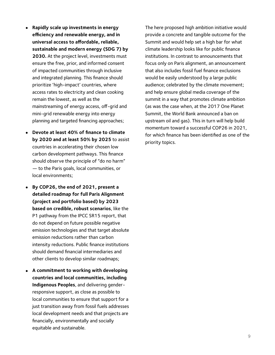- **Rapidly scale up investments in energy efficiency and renewable energy, and in universal access to affordable, reliable, sustainable and modern energy (SDG 7) by 2030.** At the project level, investments must ensure the free, prior, and informed consent of impacted communities through inclusive and integrated planning. This finance should prioritize 'high-impact' countries, where access rates to electricity and clean cooking remain the lowest, as well as the mainstreaming of energy access, off-grid and mini-grid renewable energy into energy planning and targeted financing approaches;
- **Devote at least 40% of finance to climate by 2020 and at least 50% by 2025** to assist countries in accelerating their chosen low carbon development pathways. This finance should observe the principle of "do no harm" — to the Paris goals, local communities, or local environments;
- **By COP26, the end of 2021, present a detailed roadmap for full Paris Alignment (project and portfolio based) by 2023 based on credible, robust scenarios**, like the P1 pathway from the IPCC SR15 report, that do not depend on future possible negative emission technologies and that target absolute emission reductions rather than carbon intensity reductions. Public finance institutions should demand financial intermediaries and other clients to develop similar roadmaps;
- **A commitment to working with developing countries and local communities, including Indigenous Peoples**, and delivering genderresponsive support, as close as possible to local communities to ensure that support for a just transition away from fossil fuels addresses local development needs and that projects are financially, environmentally and socially equitable and sustainable.

The here proposed high ambition initiative would provide a concrete and tangible outcome for the Summit and would help set a high bar for what climate leadership looks like for public finance institutions. In contrast to announcements that focus only on Paris alignment, an announcement that also includes fossil fuel finance exclusions would be easily understood by a large public audience; celebrated by the climate movement; and help ensure global media coverage of the summit in a way that promotes climate ambition (as was the case when, at the 2017 One Planet Summit, the World Bank announced a ban on upstream oil and gas). This in turn will help build momentum toward a successful COP26 in 2021, for which finance has been identified as one of the priority topics.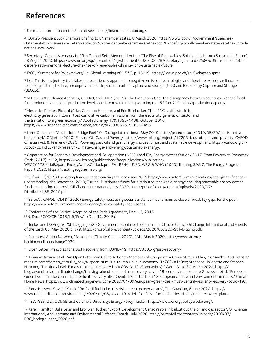<span id="page-9-0"></span><sup>[1](#page-1-0)</sup> For more information on the Summit see: https://financeincommon.org/.

<span id="page-9-1"></span> COP26 President Alok Sharma's briefing to UN member states, 8 March 2020: https://www.gov.uk/government/speeches/ [2](#page-1-1) statement-by-business-secretary-and-cop26-president-alok-sharma-at-the-cop26-briefing-to-all-member-states-at-the-unitednations-new-york

<span id="page-9-2"></span>Secretary-General's remarks to 19th Darbari Seth Memorial Lecture "The Rise of Renewables: Shining a Light on a Sustainable Future", [3](#page-2-0) 28 August 2020: https://www.un.org/sg/en/content/sg/statement/2020-08-28/secretary-general%E2%80%99s-remarks-19thdarbari-seth-memorial-lecture-the-rise-of-renewables-shining-light-sustainable-future.

<span id="page-9-3"></span>IPCC, "Summary for Policymakers," In: Global warming of 1.5°C, p. 16-19. https://www.ipcc.ch/sr15/chapter/spm/ [4](#page-2-1)

<span id="page-9-4"></span><sup>5</sup>Ibid. This is a trajectory that takes a precautionary approach to negative emission technologies and therefore excludes reliance on technologies that, to date, are unproven at scale, such as carbon capture and storage (CCS) and Bio-energy Capture and Storage (BECCS).

<span id="page-9-5"></span><sup>6</sup>SEI, IISD, ODI, Climate Analytics, CICERO, and UNEP. (2019). The Production Gap: The discrepancy between countries' planned fossil fuel production and global production levels consistent with limiting warming to 1.5°C or 2°C. http://productiongap.org/

<span id="page-9-6"></span> Alexander Pfeiffer, Richard Millar, Cameron Hepburn, and Eric Beinhocker, "The '2°C capital stock' for [7](#page-2-4) electricity generation: Committed cumulative carbon emissions from the electricity generation sector and the transition to a green economy," Applied Energy 179:1395-1408, October 2016. https://www.sciencedirect.com/science/article/pii/S0306261916302495

<span id="page-9-7"></span>[8](#page-3-0) Lorne Stockman, "Gas is Not a Bridge Fuel," Oil Change International, May 2019, http://priceofoil.org/2019/05/30/gas-is-not-abridge-fuel/; ODI et al (2020) Faqs on Oil, Gas and Poverty. https://www.odi.org/projects/17203-faqs-oil-gas-and-poverty; CAFOD, Christian Aid, & Tearfund (2020) Powering past oil and gas: Energy choices for just and sustainable development. https://cafod.org.uk/ About-us/Policy-and-research/Climate-change-and-energy/Sustainable-energy.

<span id="page-9-8"></span><sup>9</sup>Organisation for Economic Development and Co-operation (OECD) and IEA, Energy Access Outlook 2017: From Poverty to Prosperity (Paris: 2017), p. 12, https://www.iea.org/publications/freepublications/publication/ WEO2017SpecialReport\_EnergyAccessOutlook.pdf; EA, IRENA, UNSD, WBG & WHO (2020) Tracking SDG 7: The Energy Progress Report 2020. https://trackingsdg7.esmap.org/

<span id="page-9-9"></span>[10](#page-3-2) SEforALL (2019) Energizing finance: understanding the landscape 2019.https://www.seforall.org/publications/energizing-financeunderstanding-the-landscape-2019; Tucker, "Distributed funds for distributed renewable energy: ensuring renewable energy access funds reaches local actors", Oil Change International, July 2020. http://priceofoil.org/content/uploads/2020/07/ Distributed\_RE\_2020.pdf.

<span id="page-9-10"></span>[11](#page-3-3) SEforAll, CAFOD, ODI & (2020) Energy safety nets: using social assistance mechanisms to close affordability gaps for the poor. https://www.seforall.org/data-and-evidence/energy-safety-nets-series

<span id="page-9-11"></span><sup>[12](#page-4-0)</sup> Conference of the Parties, Adoption of the Paris Agreement, Dec. 12, 2015 U.N. Doc. FCCC/CP/2015/L.9/Rev/1 (Dec. 12, 2015).

<span id="page-9-12"></span>[13](#page-4-1) Tucker and De Angelis, "Still Digging: G20 Governments Continue to Finance the Climate Crisis," Oil Change International and Friends of the Earth US, May 2020 p. 8-9, http://priceofoil.org/content/uploads/2020/05/G20-Still-Digging.pdf.

<span id="page-9-13"></span><sup>[14](#page-4-2)</sup> Rainforest Action Network, "Banking on Climate Change 2020", RAN, March 2020, http://www.ran.org/ bankingonclimatechange2020.

<span id="page-9-14"></span><sup>[15](#page-4-3)</sup> Open Letter: Principles for a Just Recovery from COVID-19. https://350.org/just-recovery/

<span id="page-9-15"></span>[16](#page-4-4) Johanna Bozuwa et al., "An Open Letter and Call to Action to Members of Congress," A Green Stimulus Plan, 22 March 2020, https:// medium.com/@green\_stimulus\_now/a-green-stimulus-to-rebuild-our-economy-1e7030a1d9ee; Stephane Hallegatte and Stephen Hammer, "Thinking ahead: For a sustainable recovery from COVID-19 (Coronavirus)," World Bank, 30 March 2020, https:// blogs.worldbank.org/climatechange/thinking-ahead-sustainable-recovery-covid-19-coronavirus; Leonore Gewessler et al, "European Green Deal must be central to a resilient recovery afer Covid-19: Letter from 13 European climate and environment ministers," Climate Home News, https://www.climatechangenews.com/2020/04/09/european-green-deal-must-central-resilient-recovery-covid-19/.

<span id="page-9-16"></span><sup>[17](#page-4-5)</sup> Fiona Harvey, "Covid-19 relief for fossil fuel industries risks green recovery plans", The Guardian, 6 June 2020, https:// www.theguardian.com/environment/2020/jun/06/covid-19-relief-for-fossil-fuel-industries-risks-green-recovery-plans.

<span id="page-9-17"></span>[18](#page-4-6) IISD, IGES, OCI, ODI, SEI and Columbia University, Energy Policy Tracker: https://www.energypolicytracker.org/.

<span id="page-9-18"></span>[19](#page-4-7) Karen Hamilton, Julia Levin and Bronwen Tucker, "Export Development Canada's role in bailout out the oil and qas sector", Oil Change International, Aboveground and Environmental Defence Canada, July 2020. http://priceofoil.org/content/uploads/2020/07/ EDC\_backgrounder\_2020.pdf.